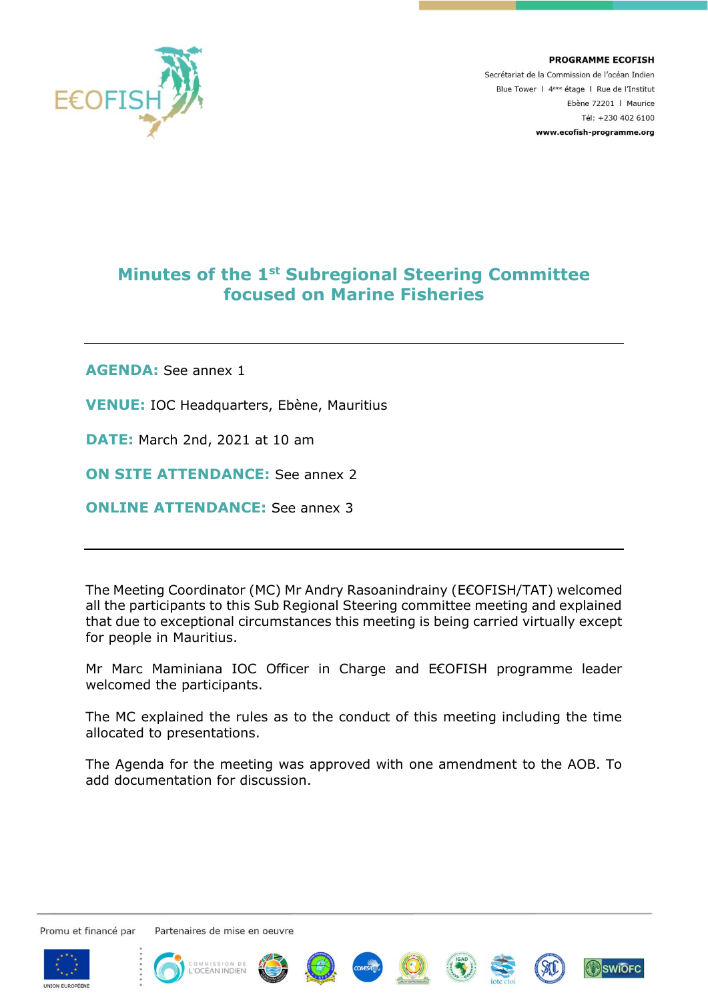

**PROGRAMME ECOFISH** Secrétariat de la Commission de l'océan Indien Blue Tower | 4<sup>ème</sup> étage | Rue de l'Institut Ebène 72201 | Maurice Tél: +230 402 6100 www.ecofish-programme.org

# **Minutes of the 1st Subregional Steering Committee focused on Marine Fisheries**

**AGENDA:** See annex 1

**VENUE:** IOC Headquarters, Ebène, Mauritius

**DATE:** March 2nd, 2021 at 10 am

**ON SITE ATTENDANCE:** See annex 2

**ONLINE ATTENDANCE:** See annex 3

The Meeting Coordinator (MC) Mr Andry Rasoanindrainy (E€OFISH/TAT) welcomed all the participants to this Sub Regional Steering committee meeting and explained that due to exceptional circumstances this meeting is being carried virtually except for people in Mauritius.

Mr Marc Maminiana IOC Officer in Charge and E€OFISH programme leader welcomed the participants.

The MC explained the rules as to the conduct of this meeting including the time allocated to presentations.

The Agenda for the meeting was approved with one amendment to the AOB. To add documentation for discussion.

Promu et financé par















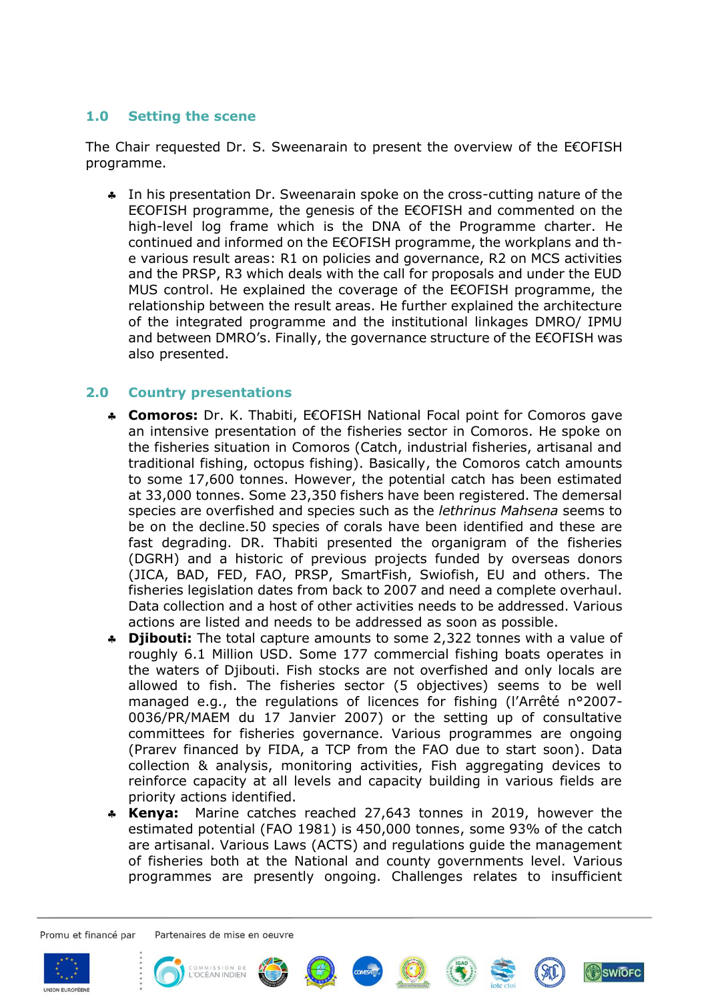## **1.0 Setting the scene**

The Chair requested Dr. S. Sweenarain to present the overview of the E€OFISH programme.

 In his presentation Dr. Sweenarain spoke on the cross-cutting nature of the E€OFISH programme, the genesis of the E€OFISH and commented on the high-level log frame which is the DNA of the Programme charter. He continued and informed on the E€OFISH programme, the workplans and the various result areas: R1 on policies and governance, R2 on MCS activities and the PRSP, R3 which deals with the call for proposals and under the EUD MUS control. He explained the coverage of the E€OFISH programme, the relationship between the result areas. He further explained the architecture of the integrated programme and the institutional linkages DMRO/ IPMU and between DMRO's. Finally, the governance structure of the E€OFISH was also presented.

## **2.0 Country presentations**

- **Comoros:** Dr. K. Thabiti, E€OFISH National Focal point for Comoros gave an intensive presentation of the fisheries sector in Comoros. He spoke on the fisheries situation in Comoros (Catch, industrial fisheries, artisanal and traditional fishing, octopus fishing). Basically, the Comoros catch amounts to some 17,600 tonnes. However, the potential catch has been estimated at 33,000 tonnes. Some 23,350 fishers have been registered. The demersal species are overfished and species such as the *lethrinus Mahsena* seems to be on the decline.50 species of corals have been identified and these are fast degrading. DR. Thabiti presented the organigram of the fisheries (DGRH) and a historic of previous projects funded by overseas donors (JICA, BAD, FED, FAO, PRSP, SmartFish, Swiofish, EU and others. The fisheries legislation dates from back to 2007 and need a complete overhaul. Data collection and a host of other activities needs to be addressed. Various actions are listed and needs to be addressed as soon as possible.
- **Djibouti:** The total capture amounts to some 2,322 tonnes with a value of roughly 6.1 Million USD. Some 177 commercial fishing boats operates in the waters of Djibouti. Fish stocks are not overfished and only locals are allowed to fish. The fisheries sector (5 objectives) seems to be well managed e.g., the regulations of licences for fishing (l'Arrêté n°2007- 0036/PR/MAEM du 17 Janvier 2007) or the setting up of consultative committees for fisheries governance. Various programmes are ongoing (Prarev financed by FIDA, a TCP from the FAO due to start soon). Data collection & analysis, monitoring activities, Fish aggregating devices to reinforce capacity at all levels and capacity building in various fields are priority actions identified.
- **Kenya:** Marine catches reached 27,643 tonnes in 2019, however the estimated potential (FAO 1981) is 450,000 tonnes, some 93% of the catch are artisanal. Various Laws (ACTS) and regulations guide the management of fisheries both at the National and county governments level. Various programmes are presently ongoing. Challenges relates to insufficient

Promu et financé par















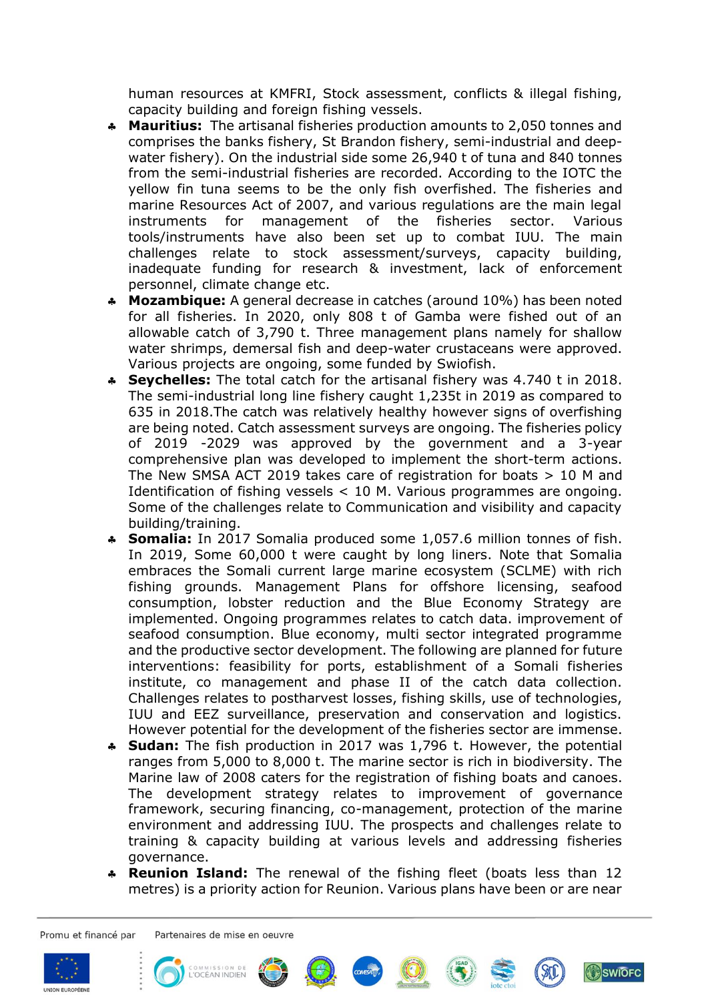human resources at KMFRI, Stock assessment, conflicts & illegal fishing, capacity building and foreign fishing vessels.

- **Mauritius:** The artisanal fisheries production amounts to 2,050 tonnes and comprises the banks fishery, St Brandon fishery, semi-industrial and deepwater fishery). On the industrial side some 26,940 t of tuna and 840 tonnes from the semi-industrial fisheries are recorded. According to the IOTC the yellow fin tuna seems to be the only fish overfished. The fisheries and marine Resources Act of 2007, and various regulations are the main legal instruments for management of the fisheries sector. Various tools/instruments have also been set up to combat IUU. The main challenges relate to stock assessment/surveys, capacity building, inadequate funding for research & investment, lack of enforcement personnel, climate change etc.
- **Mozambique:** A general decrease in catches (around 10%) has been noted for all fisheries. In 2020, only 808 t of Gamba were fished out of an allowable catch of 3,790 t. Three management plans namely for shallow water shrimps, demersal fish and deep-water crustaceans were approved. Various projects are ongoing, some funded by Swiofish.
- **Seychelles:** The total catch for the artisanal fishery was 4.740 t in 2018. The semi-industrial long line fishery caught 1,235t in 2019 as compared to 635 in 2018.The catch was relatively healthy however signs of overfishing are being noted. Catch assessment surveys are ongoing. The fisheries policy of 2019 -2029 was approved by the government and a 3-year comprehensive plan was developed to implement the short-term actions. The New SMSA ACT 2019 takes care of registration for boats > 10 M and Identification of fishing vessels < 10 M. Various programmes are ongoing. Some of the challenges relate to Communication and visibility and capacity building/training.
- **Somalia:** In 2017 Somalia produced some 1,057.6 million tonnes of fish. In 2019, Some 60,000 t were caught by long liners. Note that Somalia embraces the Somali current large marine ecosystem (SCLME) with rich fishing grounds. Management Plans for offshore licensing, seafood consumption, lobster reduction and the Blue Economy Strategy are implemented. Ongoing programmes relates to catch data. improvement of seafood consumption. Blue economy, multi sector integrated programme and the productive sector development. The following are planned for future interventions: feasibility for ports, establishment of a Somali fisheries institute, co management and phase II of the catch data collection. Challenges relates to postharvest losses, fishing skills, use of technologies, IUU and EEZ surveillance, preservation and conservation and logistics. However potential for the development of the fisheries sector are immense.
- **Sudan:** The fish production in 2017 was 1,796 t. However, the potential ranges from 5,000 to 8,000 t. The marine sector is rich in biodiversity. The Marine law of 2008 caters for the registration of fishing boats and canoes. The development strategy relates to improvement of governance framework, securing financing, co-management, protection of the marine environment and addressing IUU. The prospects and challenges relate to training & capacity building at various levels and addressing fisheries governance.
- **Reunion Island:** The renewal of the fishing fleet (boats less than 12 metres) is a priority action for Reunion. Various plans have been or are near

Promu et financé par















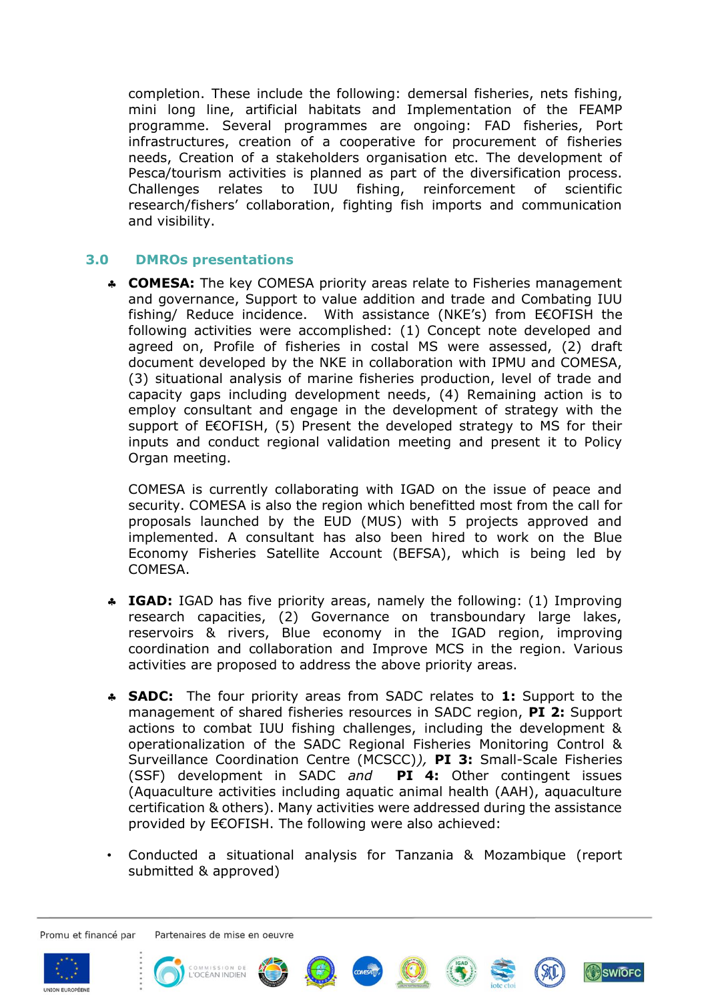completion. These include the following: demersal fisheries, nets fishing, mini long line, artificial habitats and Implementation of the FEAMP programme. Several programmes are ongoing: FAD fisheries, Port infrastructures, creation of a cooperative for procurement of fisheries needs, Creation of a stakeholders organisation etc. The development of Pesca/tourism activities is planned as part of the diversification process. Challenges relates to IUU fishing, reinforcement of scientific research/fishers' collaboration, fighting fish imports and communication and visibility.

## **3.0 DMROs presentations**

 **COMESA:** The key COMESA priority areas relate to Fisheries management and governance, Support to value addition and trade and Combating IUU fishing/ Reduce incidence. With assistance (NKE's) from E€OFISH the following activities were accomplished: (1) Concept note developed and agreed on, Profile of fisheries in costal MS were assessed, (2) draft document developed by the NKE in collaboration with IPMU and COMESA, (3) situational analysis of marine fisheries production, level of trade and capacity gaps including development needs, (4) Remaining action is to employ consultant and engage in the development of strategy with the support of E€OFISH, (5) Present the developed strategy to MS for their inputs and conduct regional validation meeting and present it to Policy Organ meeting.

COMESA is currently collaborating with IGAD on the issue of peace and security. COMESA is also the region which benefitted most from the call for proposals launched by the EUD (MUS) with 5 projects approved and implemented. A consultant has also been hired to work on the Blue Economy Fisheries Satellite Account (BEFSA), which is being led by COMESA.

- **IGAD:** IGAD has five priority areas, namely the following: (1) Improving research capacities, (2) Governance on transboundary large lakes, reservoirs & rivers, Blue economy in the IGAD region, improving coordination and collaboration and Improve MCS in the region. Various activities are proposed to address the above priority areas.
- **SADC:** The four priority areas from SADC relates to **1:** Support to the management of shared fisheries resources in SADC region, **PI 2:** Support actions to combat IUU fishing challenges, including the development & operationalization of the SADC Regional Fisheries Monitoring Control & Surveillance Coordination Centre (MCSCC)*),* **PI 3:** Small-Scale Fisheries (SSF) development in SADC *and* **PI 4:** Other contingent issues (Aquaculture activities including aquatic animal health (AAH), aquaculture certification & others). Many activities were addressed during the assistance provided by E€OFISH. The following were also achieved:
- Conducted a situational analysis for Tanzania & Mozambique (report submitted & approved)

Promu et financé par













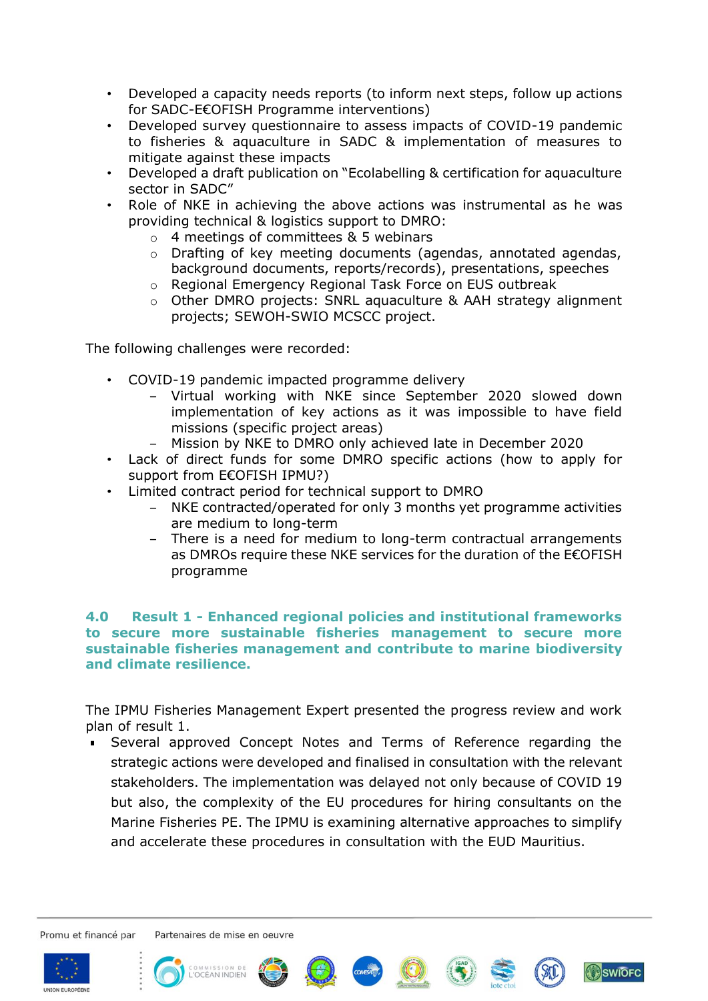- Developed a capacity needs reports (to inform next steps, follow up actions for SADC-E€OFISH Programme interventions)
- Developed survey questionnaire to assess impacts of COVID-19 pandemic to fisheries & aquaculture in SADC & implementation of measures to mitigate against these impacts
- Developed a draft publication on "Ecolabelling & certification for aquaculture sector in SADC"
- Role of NKE in achieving the above actions was instrumental as he was providing technical & logistics support to DMRO:
	- o 4 meetings of committees & 5 webinars
	- o Drafting of key meeting documents (agendas, annotated agendas, background documents, reports/records), presentations, speeches
	- o Regional Emergency Regional Task Force on EUS outbreak
	- o Other DMRO projects: SNRL aquaculture & AAH strategy alignment projects; SEWOH-SWIO MCSCC project.

The following challenges were recorded:

- COVID-19 pandemic impacted programme delivery
	- ‒ Virtual working with NKE since September 2020 slowed down implementation of key actions as it was impossible to have field missions (specific project areas)
	- ‒ Mission by NKE to DMRO only achieved late in December 2020
- Lack of direct funds for some DMRO specific actions (how to apply for support from E€OFISH IPMU?)
- Limited contract period for technical support to DMRO
	- ‒ NKE contracted/operated for only 3 months yet programme activities are medium to long-term
	- There is a need for medium to long-term contractual arrangements as DMROs require these NKE services for the duration of the E€OFISH programme

#### **4.0 Result 1 - Enhanced regional policies and institutional frameworks to secure more sustainable fisheries management to secure more sustainable fisheries management and contribute to marine biodiversity and climate resilience.**

The IPMU Fisheries Management Expert presented the progress review and work plan of result 1.

Several approved Concept Notes and Terms of Reference regarding the strategic actions were developed and finalised in consultation with the relevant stakeholders. The implementation was delayed not only because of COVID 19 but also, the complexity of the EU procedures for hiring consultants on the Marine Fisheries PE. The IPMU is examining alternative approaches to simplify and accelerate these procedures in consultation with the EUD Mauritius.

Promu et financé par













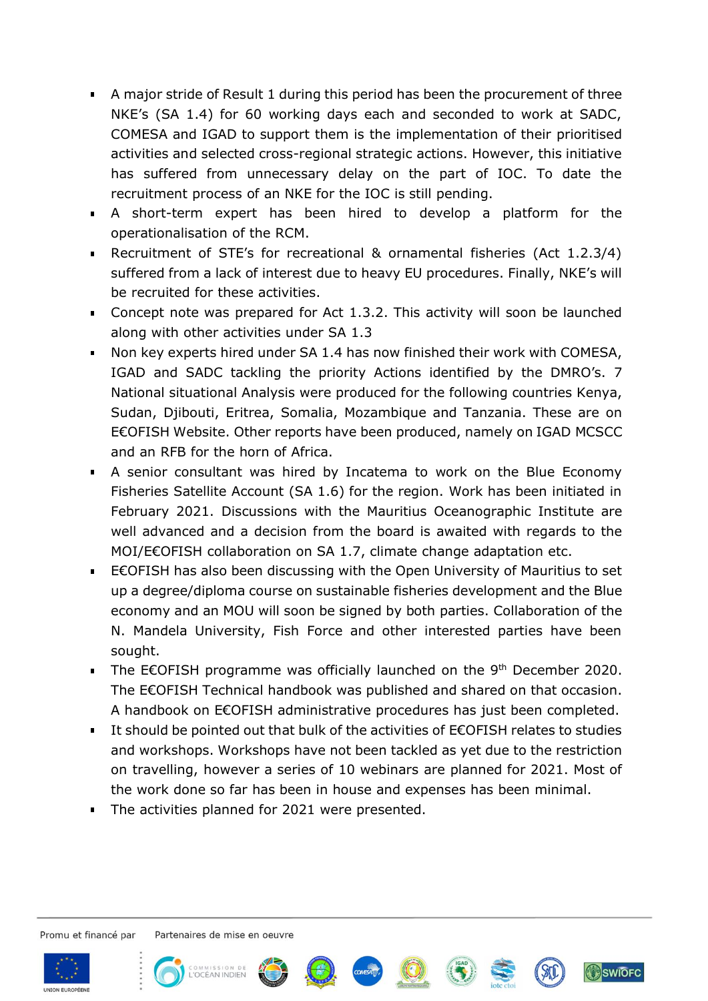- A major stride of Result 1 during this period has been the procurement of three NKE's (SA 1.4) for 60 working days each and seconded to work at SADC, COMESA and IGAD to support them is the implementation of their prioritised activities and selected cross-regional strategic actions. However, this initiative has suffered from unnecessary delay on the part of IOC. To date the recruitment process of an NKE for the IOC is still pending.
- A short-term expert has been hired to develop a platform for the operationalisation of the RCM.
- Recruitment of STE's for recreational & ornamental fisheries (Act 1.2.3/4) suffered from a lack of interest due to heavy EU procedures. Finally, NKE's will be recruited for these activities.
- Concept note was prepared for Act 1.3.2. This activity will soon be launched along with other activities under SA 1.3
- Non key experts hired under SA 1.4 has now finished their work with COMESA,  $\mathbf{E}^{\text{max}}$ IGAD and SADC tackling the priority Actions identified by the DMRO's. 7 National situational Analysis were produced for the following countries Kenya, Sudan, Djibouti, Eritrea, Somalia, Mozambique and Tanzania. These are on E€OFISH Website. Other reports have been produced, namely on IGAD MCSCC and an RFB for the horn of Africa.
- A senior consultant was hired by Incatema to work on the Blue Economy Fisheries Satellite Account (SA 1.6) for the region. Work has been initiated in February 2021. Discussions with the Mauritius Oceanographic Institute are well advanced and a decision from the board is awaited with regards to the MOI/E€OFISH collaboration on SA 1.7, climate change adaptation etc.
- E€OFISH has also been discussing with the Open University of Mauritius to set up a degree/diploma course on sustainable fisheries development and the Blue economy and an MOU will soon be signed by both parties. Collaboration of the N. Mandela University, Fish Force and other interested parties have been sought.
- The E€OFISH programme was officially launched on the 9<sup>th</sup> December 2020. The E€OFISH Technical handbook was published and shared on that occasion. A handbook on E€OFISH administrative procedures has just been completed.
- It should be pointed out that bulk of the activities of E€OFISH relates to studies and workshops. Workshops have not been tackled as yet due to the restriction on travelling, however a series of 10 webinars are planned for 2021. Most of the work done so far has been in house and expenses has been minimal.
- **The activities planned for 2021 were presented.**

Promu et financé par

Partenaires de mise en oeuvre













**SWIOFC**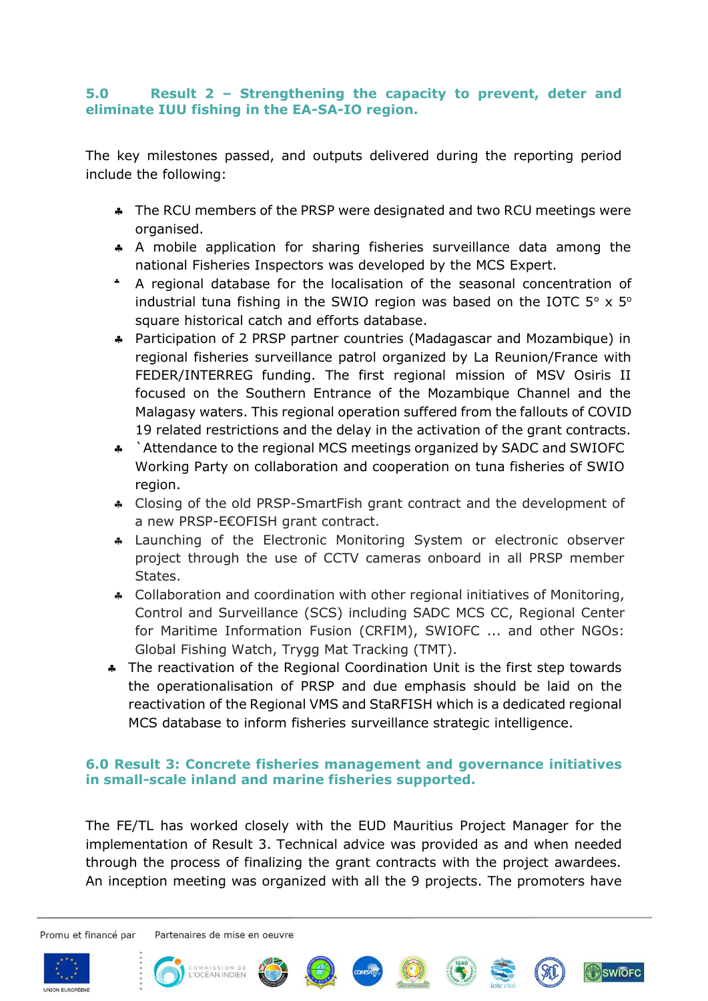## **5.0 Result 2 – Strengthening the capacity to prevent, deter and eliminate IUU fishing in the EA-SA-IO region.**

The key milestones passed, and outputs delivered during the reporting period include the following:

- \* The RCU members of the PRSP were designated and two RCU meetings were organised.
- A mobile application for sharing fisheries surveillance data among the national Fisheries Inspectors was developed by the MCS Expert.
- A regional database for the localisation of the seasonal concentration of industrial tuna fishing in the SWIO region was based on the IOTC  $5^{\circ}$  x  $5^{\circ}$ square historical catch and efforts database.
- Participation of 2 PRSP partner countries (Madagascar and Mozambique) in regional fisheries surveillance patrol organized by La Reunion/France with FEDER/INTERREG funding. The first regional mission of MSV Osiris II focused on the Southern Entrance of the Mozambique Channel and the Malagasy waters. This regional operation suffered from the fallouts of COVID 19 related restrictions and the delay in the activation of the grant contracts.
- \* `Attendance to the regional MCS meetings organized by SADC and SWIOFC Working Party on collaboration and cooperation on tuna fisheries of SWIO region.
- Closing of the old PRSP-SmartFish grant contract and the development of a new PRSP-E€OFISH grant contract.
- Launching of the Electronic Monitoring System or electronic observer project through the use of CCTV cameras onboard in all PRSP member States.
- Collaboration and coordination with other regional initiatives of Monitoring, Control and Surveillance (SCS) including SADC MCS CC, Regional Center for Maritime Information Fusion (CRFIM), SWIOFC ... and other NGOs: Global Fishing Watch, Trygg Mat Tracking (TMT).
- \* The reactivation of the Regional Coordination Unit is the first step towards the operationalisation of PRSP and due emphasis should be laid on the reactivation of the Regional VMS and StaRFISH which is a dedicated regional MCS database to inform fisheries surveillance strategic intelligence.

## **6.0 Result 3: Concrete fisheries management and governance initiatives in small-scale inland and marine fisheries supported.**

The FE/TL has worked closely with the EUD Mauritius Project Manager for the implementation of Result 3. Technical advice was provided as and when needed through the process of finalizing the grant contracts with the project awardees. An inception meeting was organized with all the 9 projects. The promoters have

Promu et financé par













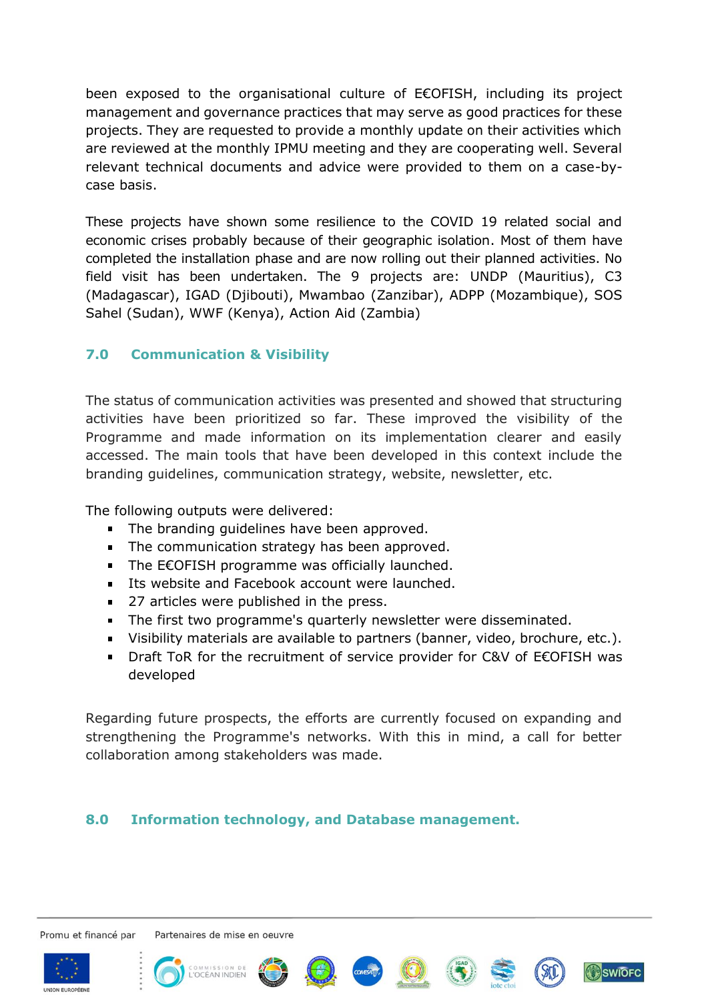been exposed to the organisational culture of E€OFISH, including its project management and governance practices that may serve as good practices for these projects. They are requested to provide a monthly update on their activities which are reviewed at the monthly IPMU meeting and they are cooperating well. Several relevant technical documents and advice were provided to them on a case-bycase basis.

These projects have shown some resilience to the COVID 19 related social and economic crises probably because of their geographic isolation. Most of them have completed the installation phase and are now rolling out their planned activities. No field visit has been undertaken. The 9 projects are: UNDP (Mauritius), C3 (Madagascar), IGAD (Djibouti), Mwambao (Zanzibar), ADPP (Mozambique), SOS Sahel (Sudan), WWF (Kenya), Action Aid (Zambia)

## **7.0 Communication & Visibility**

The status of communication activities was presented and showed that structuring activities have been prioritized so far. These improved the visibility of the Programme and made information on its implementation clearer and easily accessed. The main tools that have been developed in this context include the branding guidelines, communication strategy, website, newsletter, etc.

The following outputs were delivered:

- The branding quidelines have been approved.
- The communication strategy has been approved.
- The E€OFISH programme was officially launched.
- **Its website and Facebook account were launched.**
- **27 articles were published in the press.**
- The first two programme's quarterly newsletter were disseminated.
- Visibility materials are available to partners (banner, video, brochure, etc.).
- Draft ToR for the recruitment of service provider for C&V of E€OFISH was developed

Regarding future prospects, the efforts are currently focused on expanding and strengthening the Programme's networks. With this in mind, a call for better collaboration among stakeholders was made.

## **8.0 Information technology, and Database management.**

Promu et financé par















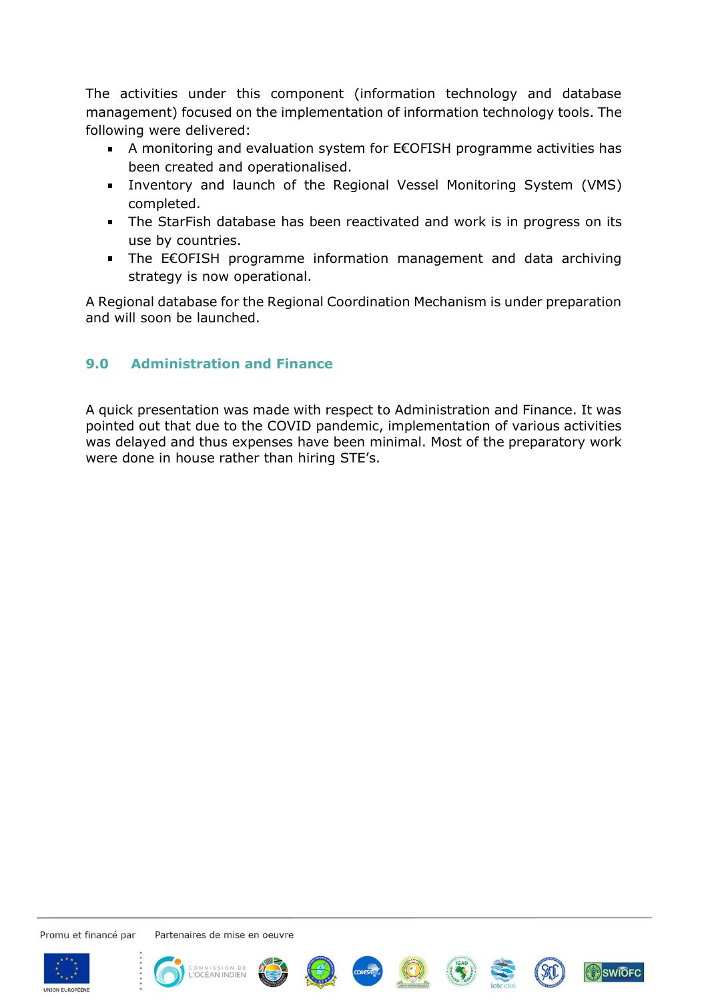The activities under this component (information technology and database management) focused on the implementation of information technology tools. The following were delivered:

- A monitoring and evaluation system for E€OFISH programme activities has been created and operationalised.
- Inventory and launch of the Regional Vessel Monitoring System (VMS) completed.
- The StarFish database has been reactivated and work is in progress on its use by countries.
- The E€OFISH programme information management and data archiving strategy is now operational.

A Regional database for the Regional Coordination Mechanism is under preparation and will soon be launched.

## **9.0 Administration and Finance**

A quick presentation was made with respect to Administration and Finance. It was pointed out that due to the COVID pandemic, implementation of various activities was delayed and thus expenses have been minimal. Most of the preparatory work were done in house rather than hiring STE's.

Promu et financé par

















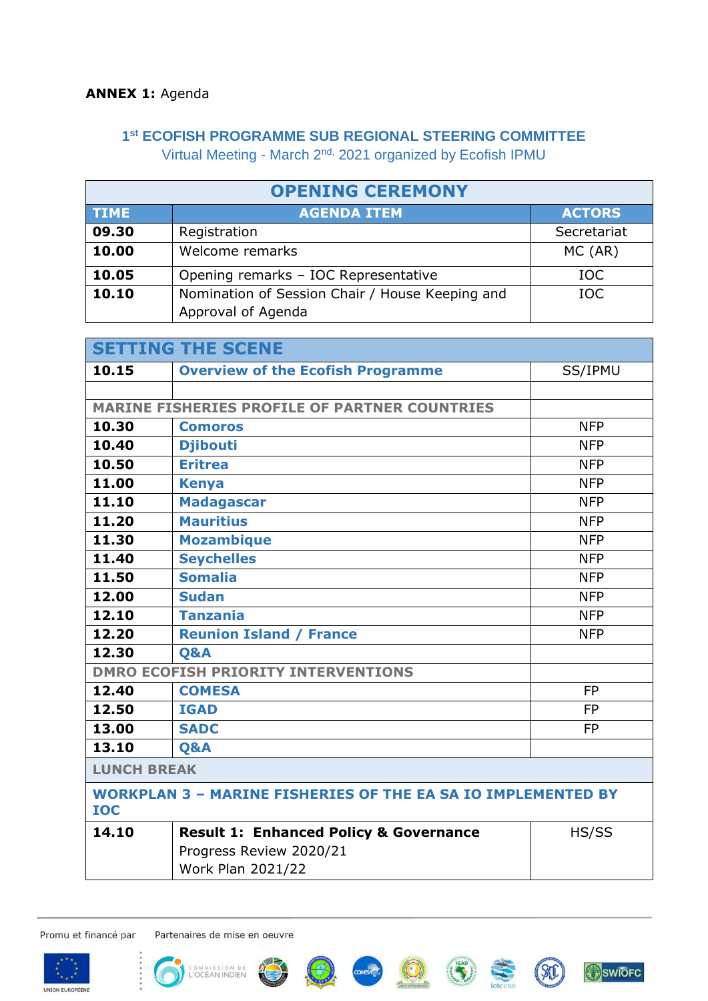## **ANNEX 1:** Agenda

# **1 st ECOFISH PROGRAMME SUB REGIONAL STEERING COMMITTEE**

Virtual Meeting - March 2nd, 2021 organized by Ecofish IPMU

| <b>OPENING CEREMONY</b> |                                                                       |               |  |  |  |  |
|-------------------------|-----------------------------------------------------------------------|---------------|--|--|--|--|
| <b>TIME</b>             | <b>AGENDA ITEM</b>                                                    | <b>ACTORS</b> |  |  |  |  |
| 09.30                   | Registration                                                          | Secretariat   |  |  |  |  |
| 10.00                   | Welcome remarks                                                       | MC (AR)       |  |  |  |  |
| 10.05                   | Opening remarks - IOC Representative                                  | IOC           |  |  |  |  |
| 10.10                   | Nomination of Session Chair / House Keeping and<br>Approval of Agenda | IOC.          |  |  |  |  |

| <b>SETTING THE SCENE</b>                                                          |                                                      |            |  |  |  |  |
|-----------------------------------------------------------------------------------|------------------------------------------------------|------------|--|--|--|--|
| 10.15                                                                             | <b>Overview of the Ecofish Programme</b>             | SS/IPMU    |  |  |  |  |
|                                                                                   |                                                      |            |  |  |  |  |
|                                                                                   | <b>MARINE FISHERIES PROFILE OF PARTNER COUNTRIES</b> |            |  |  |  |  |
| 10.30                                                                             | <b>Comoros</b>                                       | <b>NFP</b> |  |  |  |  |
| 10.40                                                                             | <b>Djibouti</b>                                      | <b>NFP</b> |  |  |  |  |
| 10.50                                                                             | <b>Eritrea</b>                                       | <b>NFP</b> |  |  |  |  |
| 11.00                                                                             | <b>Kenya</b>                                         | <b>NFP</b> |  |  |  |  |
| 11.10                                                                             | <b>Madagascar</b>                                    | <b>NFP</b> |  |  |  |  |
| 11.20                                                                             | <b>Mauritius</b>                                     | <b>NFP</b> |  |  |  |  |
| 11.30                                                                             | <b>Mozambique</b>                                    | <b>NFP</b> |  |  |  |  |
| 11.40                                                                             | <b>Seychelles</b>                                    | <b>NFP</b> |  |  |  |  |
| 11.50                                                                             | <b>Somalia</b>                                       | <b>NFP</b> |  |  |  |  |
| 12.00                                                                             | <b>Sudan</b>                                         | <b>NFP</b> |  |  |  |  |
| 12.10                                                                             | <b>Tanzania</b>                                      | <b>NFP</b> |  |  |  |  |
| 12.20                                                                             | <b>Reunion Island / France</b>                       | <b>NFP</b> |  |  |  |  |
| 12.30                                                                             | <b>O&amp;A</b>                                       |            |  |  |  |  |
|                                                                                   | <b>DMRO ECOFISH PRIORITY INTERVENTIONS</b>           |            |  |  |  |  |
| 12.40                                                                             | <b>COMESA</b>                                        | <b>FP</b>  |  |  |  |  |
| 12.50                                                                             | <b>IGAD</b>                                          | <b>FP</b>  |  |  |  |  |
| 13.00                                                                             | <b>SADC</b>                                          | <b>FP</b>  |  |  |  |  |
| 13.10                                                                             | <b>Q&amp;A</b>                                       |            |  |  |  |  |
| <b>LUNCH BREAK</b>                                                                |                                                      |            |  |  |  |  |
| <b>WORKPLAN 3 - MARINE FISHERIES OF THE EA SA IO IMPLEMENTED BY</b><br><b>IOC</b> |                                                      |            |  |  |  |  |
| 14.10                                                                             | <b>Result 1: Enhanced Policy &amp; Governance</b>    | HS/SS      |  |  |  |  |
|                                                                                   | Progress Review 2020/21                              |            |  |  |  |  |
|                                                                                   | <b>Work Plan 2021/22</b>                             |            |  |  |  |  |

Promu et financé par











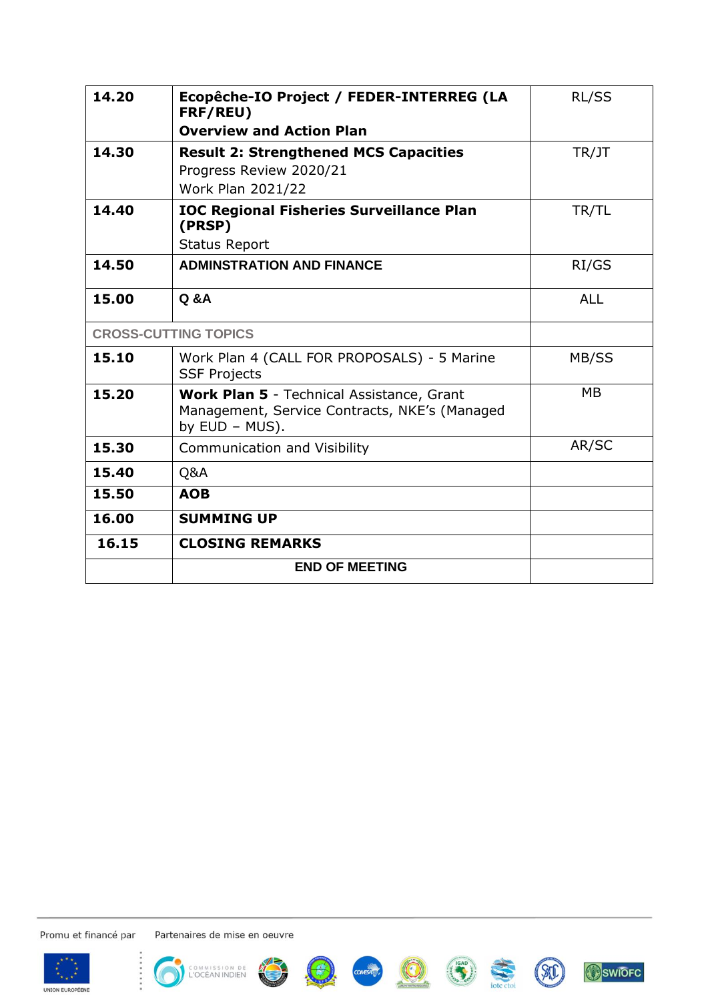| 14.20 | Ecopêche-IO Project / FEDER-INTERREG (LA<br>FRF/REU)                                                                | RL/SS      |
|-------|---------------------------------------------------------------------------------------------------------------------|------------|
|       | <b>Overview and Action Plan</b>                                                                                     |            |
| 14.30 | <b>Result 2: Strengthened MCS Capacities</b>                                                                        | TR/JT      |
|       | Progress Review 2020/21                                                                                             |            |
|       | Work Plan 2021/22                                                                                                   |            |
| 14.40 | <b>IOC Regional Fisheries Surveillance Plan</b><br>(PRSP)                                                           | TR/TL      |
|       | <b>Status Report</b>                                                                                                |            |
| 14.50 | <b>ADMINSTRATION AND FINANCE</b>                                                                                    | RI/GS      |
| 15.00 | <b>Q &amp; A</b>                                                                                                    | <b>ALL</b> |
|       | <b>CROSS-CUTTING TOPICS</b>                                                                                         |            |
| 15.10 | Work Plan 4 (CALL FOR PROPOSALS) - 5 Marine<br><b>SSF Projects</b>                                                  | MB/SS      |
| 15.20 | <b>Work Plan 5</b> - Technical Assistance, Grant<br>Management, Service Contracts, NKE's (Managed<br>by EUD - MUS). | <b>MB</b>  |
| 15.30 | <b>Communication and Visibility</b>                                                                                 | AR/SC      |
| 15.40 | Q&A                                                                                                                 |            |
| 15.50 | <b>AOB</b>                                                                                                          |            |
| 16.00 | <b>SUMMING UP</b>                                                                                                   |            |
| 16.15 | <b>CLOSING REMARKS</b>                                                                                              |            |
|       | <b>END OF MEETING</b>                                                                                               |            |

Promu et financé par















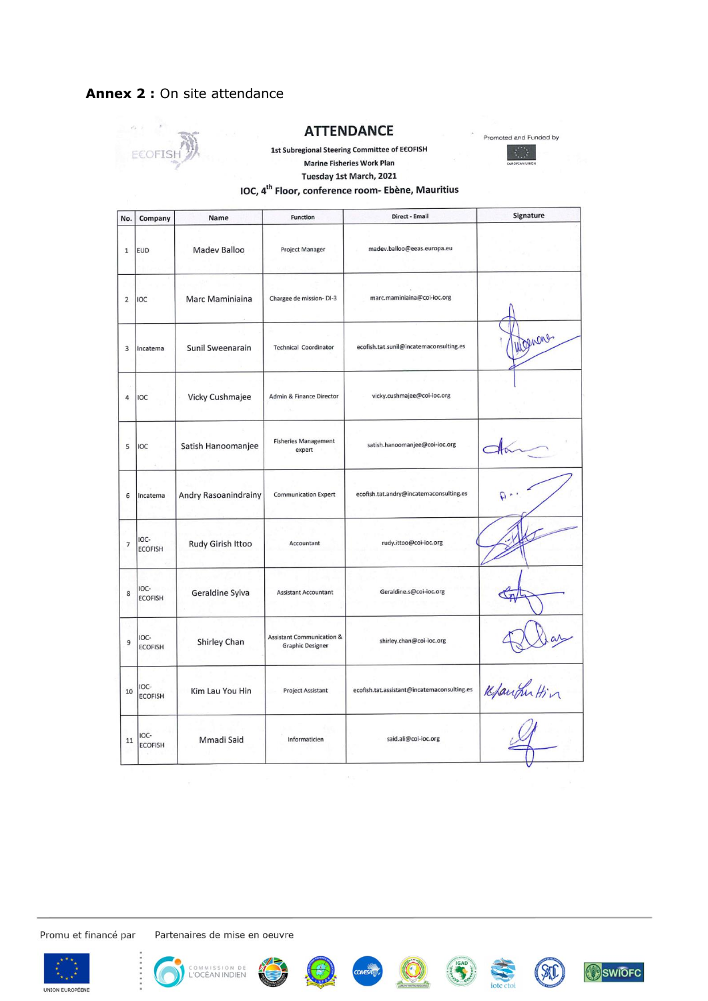## **Annex 2 :** On site attendance



#### **ATTENDANCE**





Tuesday 1st March, 2021

#### IOC, 4<sup>th</sup> Floor, conference room- Ebène, Mauritius

| No.            | Company                | Name                 | <b>Function</b>                                                 | Direct - Email                              | <b>Signature</b> |
|----------------|------------------------|----------------------|-----------------------------------------------------------------|---------------------------------------------|------------------|
| $\mathbf 1$    | <b>EUD</b>             | <b>Madev Balloo</b>  | <b>Project Manager</b>                                          | madev.balloo@eeas.europa.eu                 |                  |
| $\overline{2}$ | IOC                    | Marc Maminiaina      | Chargee de mission-DI-3                                         | marc.maminiaina@coi-ioc.org                 |                  |
| 3              | Incatema               | Sunil Sweenarain     | <b>Technical Coordinator</b>                                    | ecofish.tat.sunil@incatemaconsulting.es     | Wegners          |
| 4              | IOC                    | Vicky Cushmajee      | Admin & Finance Director                                        | vicky.cushmajee@coi-ioc.org                 |                  |
| 5              | IOC                    | Satish Hanoomanjee   | <b>Fisheries Management</b><br>expert                           | satish.hanoomanjee@coi-ioc.org              |                  |
| 6              | Incatema               | Andry Rasoanindrainy | <b>Communication Expert</b>                                     | ecofish.tat.andry@incatemaconsulting.es     |                  |
| $\overline{7}$ | IOC-<br><b>ECOFISH</b> | Rudy Girish Ittoo    | Accountant                                                      | rudy.ittoo@coi-ioc.org                      |                  |
| 8              | IOC-<br><b>ECOFISH</b> | Geraldine Sylva      | <b>Assistant Accountant</b>                                     | Geraldine.s@coi-ioc.org                     |                  |
| 9              | IOC-<br><b>ECOFISH</b> | <b>Shirley Chan</b>  | <b>Assistant Communication &amp;</b><br><b>Graphic Designer</b> | shirley.chan@coi-ioc.org                    |                  |
| 10             | IOC-<br><b>ECOFISH</b> | Kim Lau You Hin      | <b>Project Assistant</b>                                        | ecofish.tat.assistant@incatemaconsulting.es | Kfaught Hin      |
| $11\,$         | IOC-<br><b>ECOFISH</b> | Mmadi Said           | Informaticien                                                   | said.ali@coi-ioc.org                        |                  |

Promu et financé par











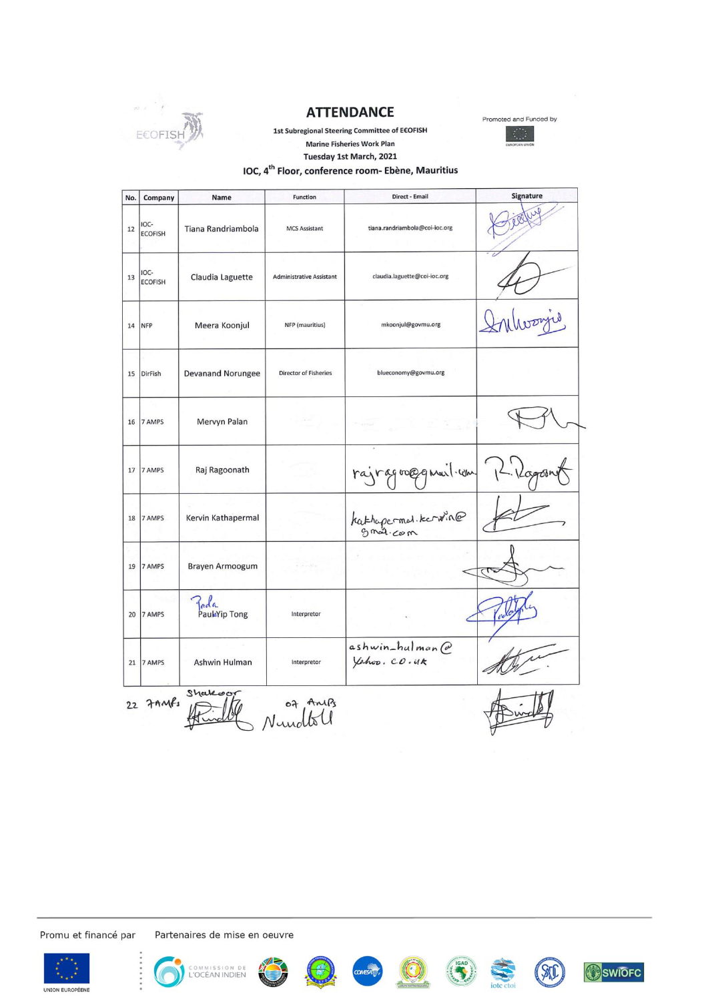

#### **ATTENDANCE**



1st Subregional Steering Committee of E€OFISH **Marine Fisheries Work Plan** 

Tuesday 1st March, 2021

# IOC, 4<sup>th</sup> Floor, conference room- Ebène, Mauritius

| IOC-<br><b>ECOFISH</b><br>IOC-<br><b>ECOFISH</b><br><b>NFP</b><br>DirFish<br>7 AMPS | Tiana Randriambola<br>Claudia Laguette<br>Meera Koonjul<br><b>Devanand Norungee</b><br>Mervyn Palan | <b>MCS Assistant</b><br><b>Administrative Assistant</b><br>NFP (mauritius)<br><b>Director of Fisheries</b> | tiana.randriambola@coi-ioc.org<br>claudia.laguette@coi-ioc.org<br>mkoonjul@govmu.org<br>blueconomy@govmu.org |  |
|-------------------------------------------------------------------------------------|-----------------------------------------------------------------------------------------------------|------------------------------------------------------------------------------------------------------------|--------------------------------------------------------------------------------------------------------------|--|
|                                                                                     |                                                                                                     |                                                                                                            |                                                                                                              |  |
|                                                                                     |                                                                                                     |                                                                                                            |                                                                                                              |  |
|                                                                                     |                                                                                                     |                                                                                                            |                                                                                                              |  |
|                                                                                     |                                                                                                     |                                                                                                            |                                                                                                              |  |
|                                                                                     |                                                                                                     |                                                                                                            |                                                                                                              |  |
| 7 AMPS                                                                              | Raj Ragoonath                                                                                       |                                                                                                            | rajragooggmuil.com/12                                                                                        |  |
| 7 AMPS                                                                              | Kervin Kathapermal                                                                                  |                                                                                                            | kathopermol.kerwin@<br>gmol.com                                                                              |  |
| 7 AMPS                                                                              | <b>Brayen Armoogum</b>                                                                              | $\mathbf{r} = \mathbf{r} + \mathbf{r}$ , $\mathbf{r} = \mathbf{r}$                                         |                                                                                                              |  |
| 7 AMPS                                                                              | Pada<br>PauluYip Tong                                                                               | Interpretor                                                                                                |                                                                                                              |  |
| 7 AMPS                                                                              | Ashwin Hulman                                                                                       | Interpretor                                                                                                | ashwin_hulman@<br>Yahoo. co.uk                                                                               |  |
|                                                                                     |                                                                                                     | Shakeon<br>22 7 AMFs                                                                                       |                                                                                                              |  |

Promu et financé par















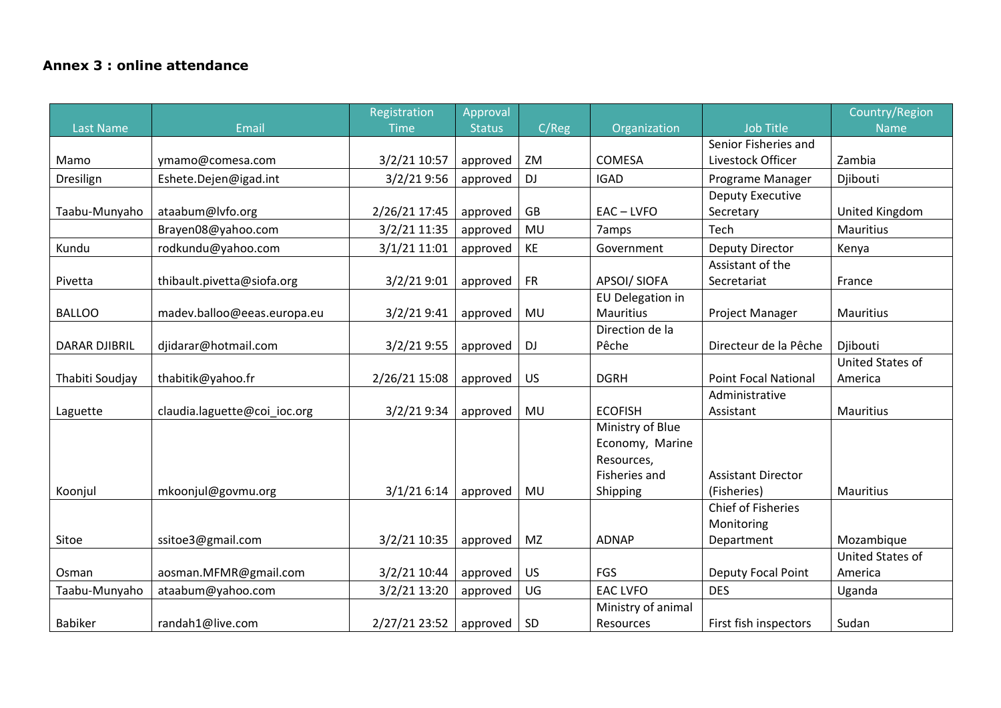## **Annex 3 : online attendance**

|                      |                              | Registration  | Approval      |           |                             |                             | Country/Region   |
|----------------------|------------------------------|---------------|---------------|-----------|-----------------------------|-----------------------------|------------------|
| <b>Last Name</b>     | Email                        | <b>Time</b>   | <b>Status</b> | C/Reg     | Organization                | <b>Job Title</b>            | <b>Name</b>      |
|                      |                              |               |               |           |                             | Senior Fisheries and        |                  |
| Mamo                 | ymamo@comesa.com             | 3/2/21 10:57  | approved      | ZM        | <b>COMESA</b>               | Livestock Officer           | Zambia           |
| Dresilign            | Eshete.Dejen@igad.int        | 3/2/21 9:56   | approved      | <b>DJ</b> | <b>IGAD</b>                 | Programe Manager            | Djibouti         |
|                      |                              |               |               |           |                             | <b>Deputy Executive</b>     |                  |
| Taabu-Munyaho        | ataabum@lvfo.org             | 2/26/21 17:45 | approved      | GB        | $EAC - LVFO$                | Secretary                   | United Kingdom   |
|                      | Brayen08@yahoo.com           | 3/2/21 11:35  | approved      | MU        | 7amps                       | Tech                        | <b>Mauritius</b> |
| Kundu                | rodkundu@yahoo.com           | 3/1/21 11:01  | approved      | KE        | Government                  | <b>Deputy Director</b>      | Kenya            |
|                      |                              |               |               |           |                             | Assistant of the            |                  |
| Pivetta              | thibault.pivetta@siofa.org   | 3/2/219:01    | approved      | <b>FR</b> | APSOI/ SIOFA                | Secretariat                 | France           |
|                      |                              |               |               |           | EU Delegation in            |                             |                  |
| <b>BALLOO</b>        | madev.balloo@eeas.europa.eu  | 3/2/219:41    | approved      | MU        | Mauritius                   | Project Manager             | Mauritius        |
|                      |                              |               |               |           | Direction de la             |                             |                  |
| <b>DARAR DJIBRIL</b> | djidarar@hotmail.com         | 3/2/219:55    | approved      | <b>DJ</b> | Pêche                       | Directeur de la Pêche       | Djibouti         |
|                      |                              |               |               |           |                             |                             | United States of |
| Thabiti Soudjay      | thabitik@yahoo.fr            | 2/26/21 15:08 | approved      | <b>US</b> | <b>DGRH</b>                 | <b>Point Focal National</b> | America          |
|                      |                              |               |               |           |                             | Administrative              |                  |
| Laguette             | claudia.laguette@coi ioc.org | 3/2/21 9:34   | approved      | MU        | <b>ECOFISH</b>              | Assistant                   | <b>Mauritius</b> |
|                      |                              |               |               |           | Ministry of Blue            |                             |                  |
|                      |                              |               |               |           | Economy, Marine             |                             |                  |
|                      |                              |               |               |           | Resources,<br>Fisheries and | <b>Assistant Director</b>   |                  |
| Koonjul              | mkoonjul@govmu.org           | 3/1/216:14    | approved      | MU        | Shipping                    | (Fisheries)                 | <b>Mauritius</b> |
|                      |                              |               |               |           |                             | <b>Chief of Fisheries</b>   |                  |
|                      |                              |               |               |           |                             | Monitoring                  |                  |
| Sitoe                | ssitoe3@gmail.com            | 3/2/21 10:35  | approved      | MZ        | <b>ADNAP</b>                | Department                  | Mozambique       |
|                      |                              |               |               |           |                             |                             | United States of |
| Osman                | aosman.MFMR@gmail.com        | 3/2/21 10:44  | approved      | <b>US</b> | FGS                         | <b>Deputy Focal Point</b>   | America          |
| Taabu-Munyaho        | ataabum@yahoo.com            | 3/2/21 13:20  | approved      | UG        | <b>EAC LVFO</b>             | <b>DES</b>                  | Uganda           |
|                      |                              |               |               |           | Ministry of animal          |                             |                  |
| <b>Babiker</b>       | randah1@live.com             | 2/27/21 23:52 | approved      | SD        | Resources                   | First fish inspectors       | Sudan            |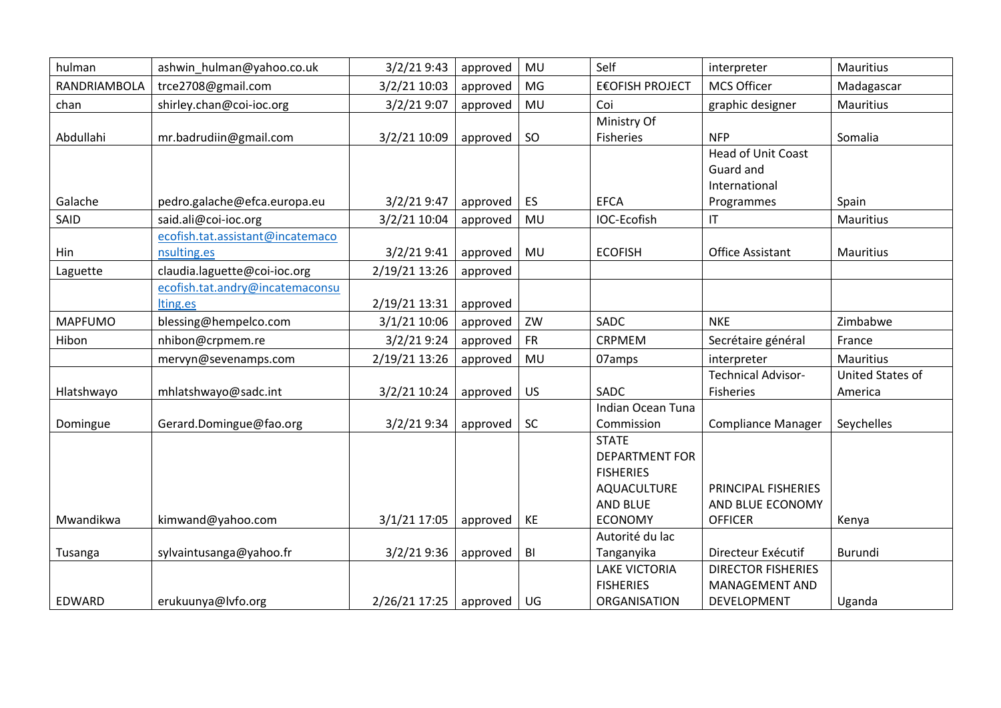| hulman         | ashwin hulman@yahoo.co.uk        | 3/2/219:43    | approved | MU        | Self                       | interpreter                        | Mauritius        |
|----------------|----------------------------------|---------------|----------|-----------|----------------------------|------------------------------------|------------------|
| RANDRIAMBOLA   | trce2708@gmail.com               | 3/2/21 10:03  | approved | MG        | <b>E€OFISH PROJECT</b>     | <b>MCS Officer</b>                 | Madagascar       |
| chan           | shirley.chan@coi-ioc.org         | 3/2/21 9:07   | approved | MU        | Coi                        | graphic designer                   | Mauritius        |
|                |                                  |               |          |           | Ministry Of                |                                    |                  |
| Abdullahi      | mr.badrudiin@gmail.com           | 3/2/21 10:09  | approved | SO        | Fisheries                  | <b>NFP</b>                         | Somalia          |
|                |                                  |               |          |           |                            | <b>Head of Unit Coast</b>          |                  |
|                |                                  |               |          |           |                            | Guard and                          |                  |
|                |                                  |               |          |           |                            | International                      |                  |
| Galache        | pedro.galache@efca.europa.eu     | 3/2/219:47    | approved | <b>ES</b> | <b>EFCA</b>                | Programmes                         | Spain            |
| SAID           | said.ali@coi-ioc.org             | 3/2/21 10:04  | approved | MU        | IOC-Ecofish                | $\mathsf{I}\mathsf{T}$             | Mauritius        |
|                | ecofish.tat.assistant@incatemaco |               |          |           |                            |                                    |                  |
| Hin            | nsulting.es                      | 3/2/219:41    | approved | MU        | <b>ECOFISH</b>             | Office Assistant                   | <b>Mauritius</b> |
| Laguette       | claudia.laguette@coi-ioc.org     | 2/19/21 13:26 | approved |           |                            |                                    |                  |
|                | ecofish.tat.andry@incatemaconsu  |               |          |           |                            |                                    |                  |
|                | lting.es                         | 2/19/21 13:31 | approved |           |                            |                                    |                  |
| <b>MAPFUMO</b> | blessing@hempelco.com            | 3/1/21 10:06  | approved | ZW        | SADC                       | <b>NKE</b>                         | Zimbabwe         |
| Hibon          | nhibon@crpmem.re                 | 3/2/21 9:24   | approved | <b>FR</b> | CRPMEM                     | Secrétaire général                 | France           |
|                | mervyn@sevenamps.com             | 2/19/21 13:26 | approved | MU        | 07amps                     | interpreter                        | <b>Mauritius</b> |
|                |                                  |               |          |           |                            | <b>Technical Advisor-</b>          | United States of |
| Hlatshwayo     | mhlatshwayo@sadc.int             | 3/2/21 10:24  | approved | <b>US</b> | SADC                       | Fisheries                          | America          |
|                |                                  |               |          |           | Indian Ocean Tuna          |                                    |                  |
| Domingue       | Gerard.Domingue@fao.org          | 3/2/21 9:34   | approved | SC        | Commission                 | <b>Compliance Manager</b>          | Seychelles       |
|                |                                  |               |          |           | <b>STATE</b>               |                                    |                  |
|                |                                  |               |          |           | <b>DEPARTMENT FOR</b>      |                                    |                  |
|                |                                  |               |          |           | <b>FISHERIES</b>           |                                    |                  |
|                |                                  |               |          |           | AQUACULTURE                | PRINCIPAL FISHERIES                |                  |
| Mwandikwa      |                                  |               |          | KE        | AND BLUE<br><b>ECONOMY</b> | AND BLUE ECONOMY<br><b>OFFICER</b> |                  |
|                | kimwand@yahoo.com                | 3/1/21 17:05  | approved |           | Autorité du lac            |                                    | Kenya            |
| Tusanga        | sylvaintusanga@yahoo.fr          | 3/2/219:36    | approved | BI        | Tanganyika                 | Directeur Exécutif                 | Burundi          |
|                |                                  |               |          |           | <b>LAKE VICTORIA</b>       | <b>DIRECTOR FISHERIES</b>          |                  |
|                |                                  |               |          |           | <b>FISHERIES</b>           | <b>MANAGEMENT AND</b>              |                  |
| EDWARD         | erukuunya@lvfo.org               | 2/26/21 17:25 | approved | UG        | ORGANISATION               | DEVELOPMENT                        | Uganda           |